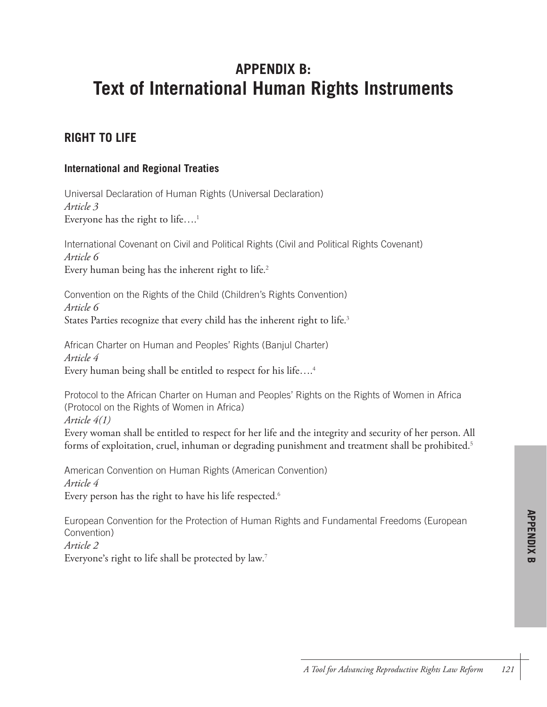# **APPENDIX B: Text of International Human Rights Instruments**

# **RIGHT TO LIFE**

### **International and Regional Treaties**

Universal Declaration of Human Rights (Universal Declaration) *Article 3* Everyone has the right to life....<sup>1</sup>

International Covenant on Civil and Political Rights (Civil and Political Rights Covenant) *Article 6* Every human being has the inherent right to life. 2

Convention on the Rights of the Child (Children's Rights Convention) *Article 6* States Parties recognize that every child has the inherent right to life. 3

African Charter on Human and Peoples' Rights (Banjul Charter) *Article 4* Every human being shall be entitled to respect for his life….4

Protocol to the African Charter on Human and Peoples' Rights on the Rights of Women in Africa (Protocol on the Rights of Women in Africa) *Article 4(1)*

Every woman shall be entitled to respect for her life and the integrity and security of her person. All forms of exploitation, cruel, inhuman or degrading punishment and treatment shall be prohibited. 5

American Convention on Human Rights (American Convention) *Article 4*

Every person has the right to have his life respected. 6

European Convention for the Protection of Human Rights and Fundamental Freedoms (European Convention)

*Article 2*

Everyone's right to life shall be protected by law. 7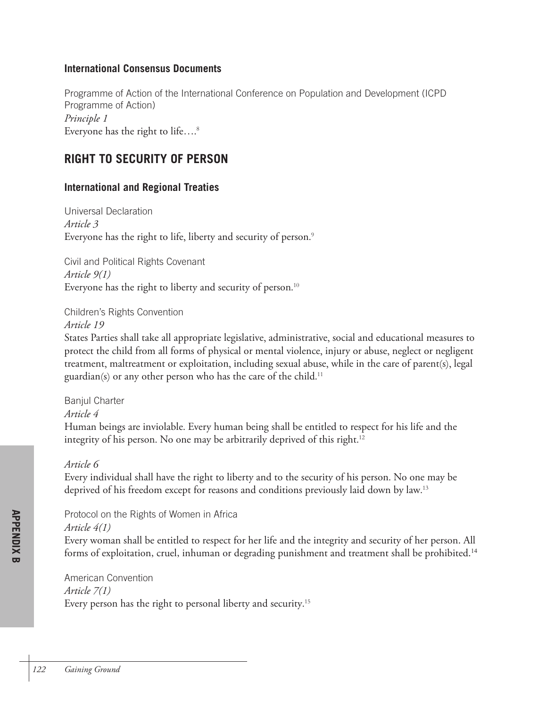### **International Consensus Documents**

Programme of Action of the International Conference on Population and Development (ICPD Programme of Action) *Principle 1* Everyone has the right to life....<sup>8</sup>

# **RIGHT TO SECURITY OF PERSON**

### **International and Regional Treaties**

Universal Declaration *Article 3* Everyone has the right to life, liberty and security of person.<sup>9</sup>

Civil and Political Rights Covenant *Article 9(1)* Everyone has the right to liberty and security of person. 10

Children's Rights Convention

*Article 19*

States Parties shall take all appropriate legislative, administrative, social and educational measures to protect the child from all forms of physical or mental violence, injury or abuse, neglect or negligent treatment, maltreatment or exploitation, including sexual abuse, while in the care of parent(s), legal guardian(s) or any other person who has the care of the child. 11

Banjul Charter *Article 4*

Human beings are inviolable. Every human being shall be entitled to respect for his life and the integrity of his person. No one may be arbitrarily deprived of this right. 12

### *Article 6*

Every individual shall have the right to liberty and to the security of his person. No one may be deprived of his freedom except for reasons and conditions previously laid down by law. 13

Protocol on the Rights of Women in Africa *Article 4(1)*

Every woman shall be entitled to respect for her life and the integrity and security of her person. All forms of exploitation, cruel, inhuman or degrading punishment and treatment shall be prohibited.<sup>14</sup>

American Convention *Article 7(1)* Every person has the right to personal liberty and security. 15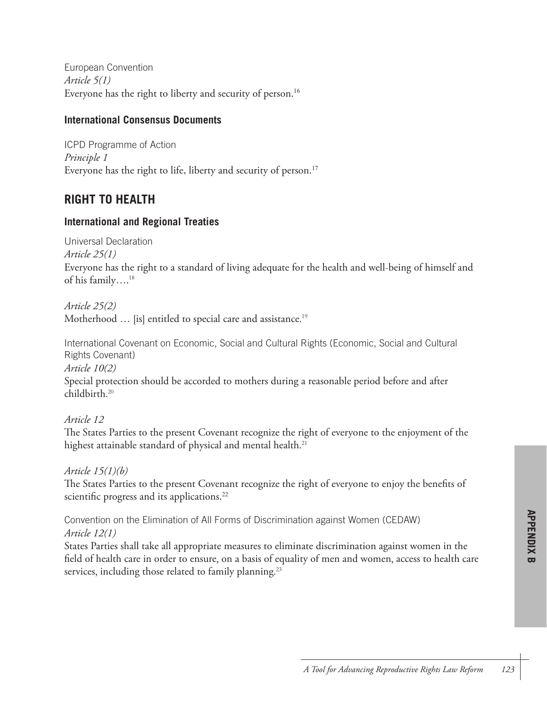European Convention *Article 5(1)* Everyone has the right to liberty and security of person.<sup>16</sup>

### **International Consensus Documents**

ICPD Programme of Action *Principle 1* Everyone has the right to life, liberty and security of person.<sup>17</sup>

# **RIGHT TO HEALTH**

### **International and Regional Treaties**

Universal Declaration

*Article 25(1)*

Everyone has the right to a standard of living adequate for the health and well-being of himself and of his family….18

*Article 25(2)*

Motherhood … [is] entitled to special care and assistance. 19

International Covenant on Economic, Social and Cultural Rights (Economic, Social and Cultural Rights Covenant)

*Article 10(2)*

Special protection should be accorded to mothers during a reasonable period before and after childbirth. 20

*Article 12* The States Parties to the present Covenant recognize the right of everyone to the enjoyment of the highest attainable standard of physical and mental health.<sup>21</sup>

*Article 15(1)(b)*

The States Parties to the present Covenant recognize the right of everyone to enjoy the benefits of scientific progress and its applications.<sup>22</sup>

Convention on the Elimination of All Forms of Discrimination against Women (CEDAW) *Article 12(1)*

States Parties shall take all appropriate measures to eliminate discrimination against women in the field of health care in order to ensure, on a basis of equality of men and women, access to health care services, including those related to family planning.<sup>23</sup>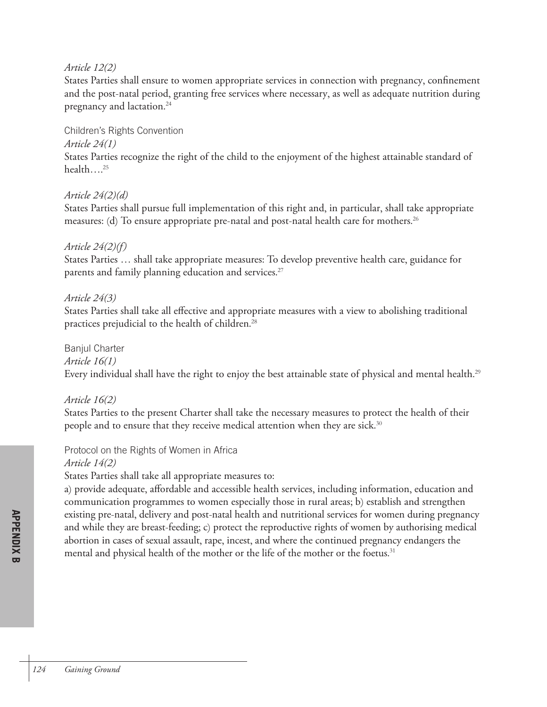### *Article 12(2)*

States Parties shall ensure to women appropriate services in connection with pregnancy, confinement and the post-natal period, granting free services where necessary, as well as adequate nutrition during pregnancy and lactation. 24

### Children's Rights Convention

### *Article 24(1)*

States Parties recognize the right of the child to the enjoyment of the highest attainable standard of health….25

### *Article 24(2)(d)*

States Parties shall pursue full implementation of this right and, in particular, shall take appropriate measures: (d) To ensure appropriate pre-natal and post-natal health care for mothers. 26

### *Article 24(2)(f)*

States Parties … shall take appropriate measures: To develop preventive health care, guidance for parents and family planning education and services. 27

### *Article 24(3)*

States Parties shall take all effective and appropriate measures with a view to abolishing traditional practices prejudicial to the health of children. 28

### Banjul Charter

#### *Article 16(1)*

Every individual shall have the right to enjoy the best attainable state of physical and mental health.<sup>29</sup>

### *Article 16(2)*

States Parties to the present Charter shall take the necessary measures to protect the health of their people and to ensure that they receive medical attention when they are sick. $^{30}$ 

Protocol on the Rights of Women in Africa *Article 14(2)*

States Parties shall take all appropriate measures to:

a) provide adequate, affordable and accessible health services, including information, education and communication programmes to women especially those in rural areas; b) establish and strengthen existing pre-natal, delivery and post-natal health and nutritional services for women during pregnancy and while they are breast-feeding; c) protect the reproductive rights of women by authorising medical abortion in cases of sexual assault, rape, incest, and where the continued pregnancy endangers the mental and physical health of the mother or the life of the mother or the foetus. 31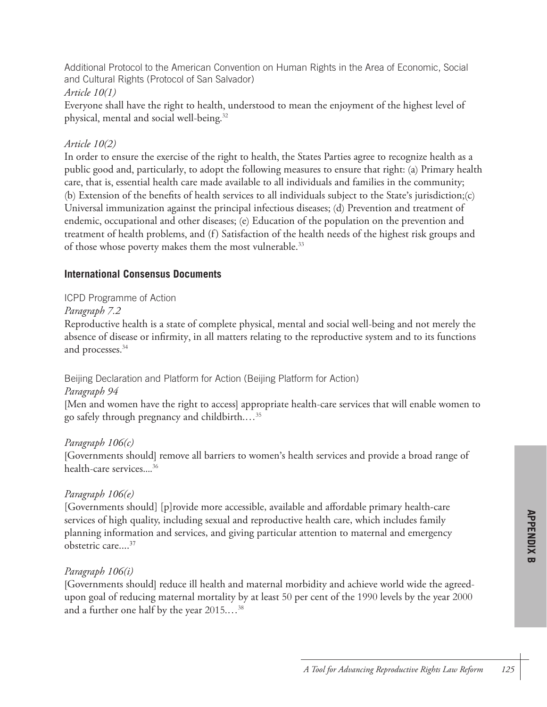Additional Protocol to the American Convention on Human Rights in the Area of Economic, Social and Cultural Rights (Protocol of San Salvador) *Article 10(1)*

Everyone shall have the right to health, understood to mean the enjoyment of the highest level of physical, mental and social well-being. 32

### *Article 10(2)*

In order to ensure the exercise of the right to health, the States Parties agree to recognize health as a public good and, particularly, to adopt the following measures to ensure that right: (a) Primary health care, that is, essential health care made available to all individuals and families in the community; (b) Extension of the benefits of health services to all individuals subject to the State's jurisdiction;(c) Universal immunization against the principal infectious diseases; (d) Prevention and treatment of endemic, occupational and other diseases; (e) Education of the population on the prevention and treatment of health problems, and (f) Satisfaction of the health needs of the highest risk groups and of those whose poverty makes them the most vulnerable.<sup>33</sup>

### **International Consensus Documents**

### ICPD Programme of Action

#### *Paragraph 7.2*

Reproductive health is a state of complete physical, mental and social well-being and not merely the absence of disease or infirmity, in all matters relating to the reproductive system and to its functions and processes. 34

Beijing Declaration and Platform for Action (Beijing Platform for Action)

### *Paragraph 94*

[Men and women have the right to access] appropriate health-care services that will enable women to go safely through pregnancy and childbirth.…35

### *Paragraph 106(c)*

[Governments should] remove all barriers to women's health services and provide a broad range of health-care services....36

### *Paragraph 106(e)*

[Governments should] [p]rovide more accessible, available and affordable primary health-care services of high quality, including sexual and reproductive health care, which includes family planning information and services, and giving particular attention to maternal and emergency obstetric care....<sup>37</sup>

### *Paragraph 106(i)*

[Governments should] reduce ill health and maternal morbidity and achieve world wide the agreedupon goal of reducing maternal mortality by at least 50 per cent of the 1990 levels by the year 2000 and a further one half by the year 2015.…38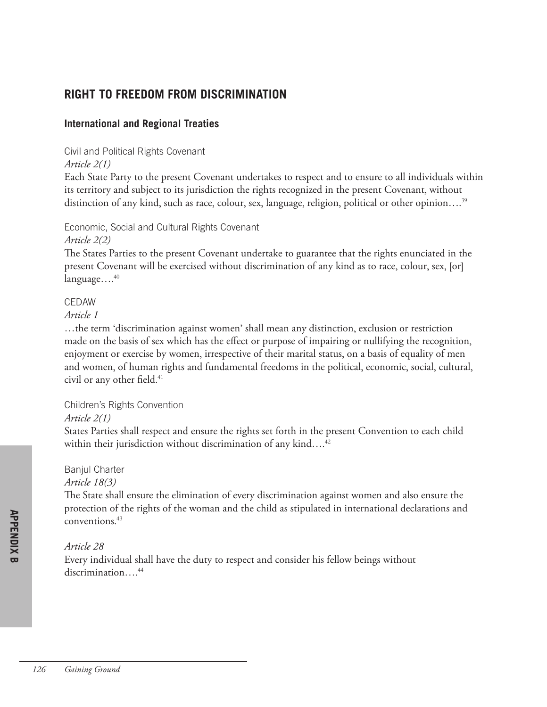# **RIGHT TO FREEDOM FROM DISCRIMINATION**

### **International and Regional Treaties**

Civil and Political Rights Covenant

*Article 2(1)*

Each State Party to the present Covenant undertakes to respect and to ensure to all individuals within its territory and subject to its jurisdiction the rights recognized in the present Covenant, without distinction of any kind, such as race, colour, sex, language, religion, political or other opinion….39

Economic, Social and Cultural Rights Covenant

*Article 2(2)*

The States Parties to the present Covenant undertake to guarantee that the rights enunciated in the present Covenant will be exercised without discrimination of any kind as to race, colour, sex, [or] language....<sup>40</sup>

#### CEDAW

#### *Article 1*

…the term 'discrimination against women' shall mean any distinction, exclusion or restriction made on the basis of sex which has the effect or purpose of impairing or nullifying the recognition, enjoyment or exercise by women, irrespective of their marital status, on a basis of equality of men and women, of human rights and fundamental freedoms in the political, economic, social, cultural, civil or any other field. 41

Children's Rights Convention

### *Article 2(1)*

States Parties shall respect and ensure the rights set forth in the present Convention to each child within their jurisdiction without discrimination of any kind…<sup>42</sup>

# Banjul Charter

*Article 18(3)*

The State shall ensure the elimination of every discrimination against women and also ensure the protection of the rights of the woman and the child as stipulated in international declarations and conventions. 43

### *Article 28*

Every individual shall have the duty to respect and consider his fellow beings without discrimination….44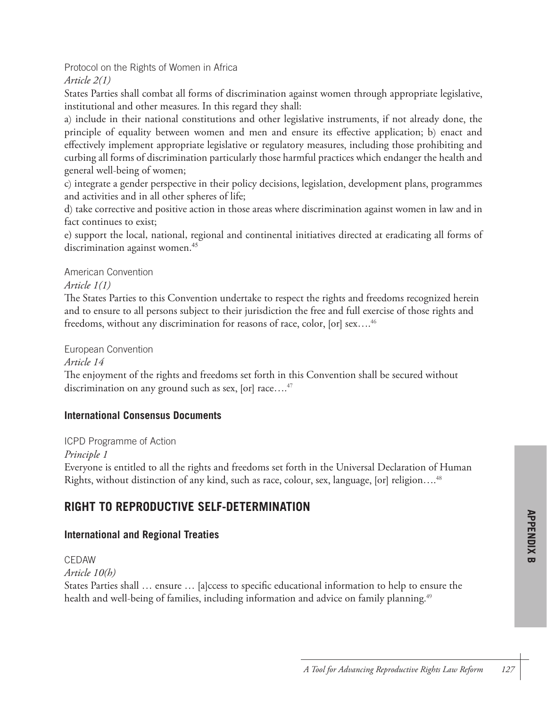Protocol on the Rights of Women in Africa

*Article 2(1)*

States Parties shall combat all forms of discrimination against women through appropriate legislative, institutional and other measures. In this regard they shall:

a) include in their national constitutions and other legislative instruments, if not already done, the principle of equality between women and men and ensure its effective application; b) enact and effectively implement appropriate legislative or regulatory measures, including those prohibiting and curbing all forms of discrimination particularly those harmful practices which endanger the health and general well-being of women;

c) integrate a gender perspective in their policy decisions, legislation, development plans, programmes and activities and in all other spheres of life;

d) take corrective and positive action in those areas where discrimination against women in law and in fact continues to exist;

e) support the local, national, regional and continental initiatives directed at eradicating all forms of discrimination against women.<sup>45</sup>

American Convention

# *Article 1(1)*

The States Parties to this Convention undertake to respect the rights and freedoms recognized herein and to ensure to all persons subject to their jurisdiction the free and full exercise of those rights and freedoms, without any discrimination for reasons of race, color, [or] sex....<sup>46</sup>

European Convention

*Article 14*

The enjoyment of the rights and freedoms set forth in this Convention shall be secured without discrimination on any ground such as sex, [or] race....<sup>47</sup>

# **International Consensus Documents**

ICPD Programme of Action

*Principle 1*

Everyone is entitled to all the rights and freedoms set forth in the Universal Declaration of Human Rights, without distinction of any kind, such as race, colour, sex, language, [or] religion….48

# **RIGHT TO REPRODUCTIVE SELF-DETERMINATION**

# **International and Regional Treaties**

# CEDAW

*Article 10(h)*

States Parties shall … ensure … [a]ccess to specific educational information to help to ensure the health and well-being of families, including information and advice on family planning. 49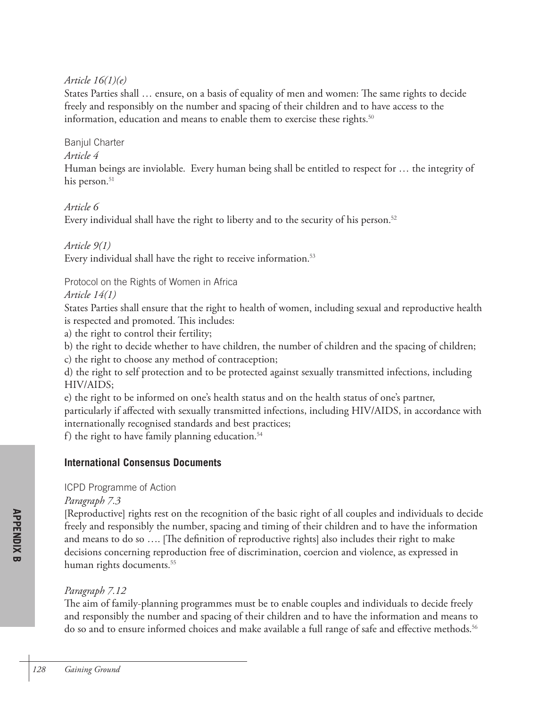### *Article 16(1)(e)*

States Parties shall … ensure, on a basis of equality of men and women: The same rights to decide freely and responsibly on the number and spacing of their children and to have access to the information, education and means to enable them to exercise these rights. $^{50}$ 

## Banjul Charter

### *Article 4*

Human beings are inviolable. Every human being shall be entitled to respect for … the integrity of his person. 51

### *Article 6*

Every individual shall have the right to liberty and to the security of his person. 52

### *Article 9(1)*

Every individual shall have the right to receive information.<sup>53</sup>

Protocol on the Rights of Women in Africa

### *Article 14(1)*

States Parties shall ensure that the right to health of women, including sexual and reproductive health is respected and promoted. This includes:

a) the right to control their fertility;

b) the right to decide whether to have children, the number of children and the spacing of children;

c) the right to choose any method of contraception;

d) the right to self protection and to be protected against sexually transmitted infections, including HIV/AIDS;

e) the right to be informed on one's health status and on the health status of one's partner, particularly if affected with sexually transmitted infections, including HIV/AIDS, in accordance with internationally recognised standards and best practices;

f) the right to have family planning education. 54

# **International Consensus Documents**

### ICPD Programme of Action

### *Paragraph 7.3*

[Reproductive] rights rest on the recognition of the basic right of all couples and individuals to decide freely and responsibly the number, spacing and timing of their children and to have the information and means to do so …. [The definition of reproductive rights] also includes their right to make decisions concerning reproduction free of discrimination, coercion and violence, as expressed in human rights documents. 55

### *Paragraph 7.12*

The aim of family-planning programmes must be to enable couples and individuals to decide freely and responsibly the number and spacing of their children and to have the information and means to do so and to ensure informed choices and make available a full range of safe and effective methods. 56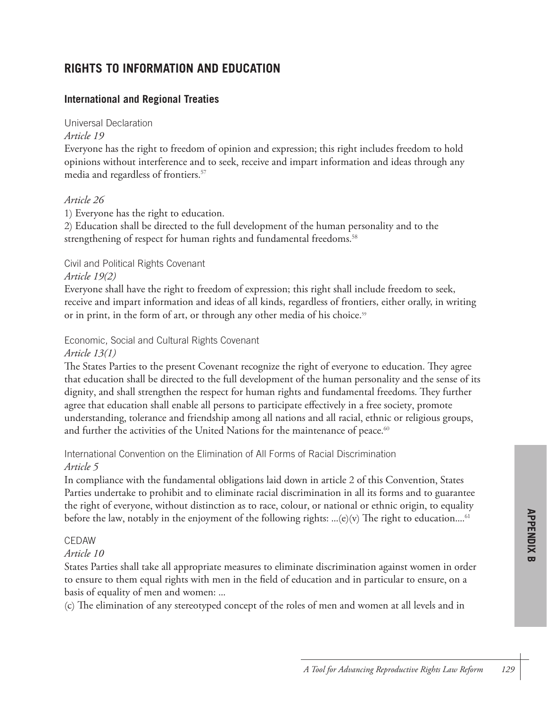# **RIGHTS TO INFORMATION AND EDUCATION**

### **International and Regional Treaties**

Universal Declaration

### *Article 19*

Everyone has the right to freedom of opinion and expression; this right includes freedom to hold opinions without interference and to seek, receive and impart information and ideas through any media and regardless of frontiers. 57

### *Article 26*

1) Everyone has the right to education.

2) Education shall be directed to the full development of the human personality and to the strengthening of respect for human rights and fundamental freedoms. 58

Civil and Political Rights Covenant *Article 19(2)*

Everyone shall have the right to freedom of expression; this right shall include freedom to seek, receive and impart information and ideas of all kinds, regardless of frontiers, either orally, in writing or in print, in the form of art, or through any other media of his choice.<sup>59</sup>

### Economic, Social and Cultural Rights Covenant

*Article 13(1)*

The States Parties to the present Covenant recognize the right of everyone to education. They agree that education shall be directed to the full development of the human personality and the sense of its dignity, and shall strengthen the respect for human rights and fundamental freedoms. They further agree that education shall enable all persons to participate effectively in a free society, promote understanding, tolerance and friendship among all nations and all racial, ethnic or religious groups, and further the activities of the United Nations for the maintenance of peace. $^\mathrm{60}$ 

International Convention on the Elimination of All Forms of Racial Discrimination *Article 5*

In compliance with the fundamental obligations laid down in article 2 of this Convention, States Parties undertake to prohibit and to eliminate racial discrimination in all its forms and to guarantee the right of everyone, without distinction as to race, colour, or national or ethnic origin, to equality before the law, notably in the enjoyment of the following rights: ...(e)(v) The right to education....<sup>61</sup>

### CEDAW

### *Article 10*

States Parties shall take all appropriate measures to eliminate discrimination against women in order to ensure to them equal rights with men in the field of education and in particular to ensure, on a basis of equality of men and women: ...

(c) The elimination of any stereotyped concept of the roles of men and women at all levels and in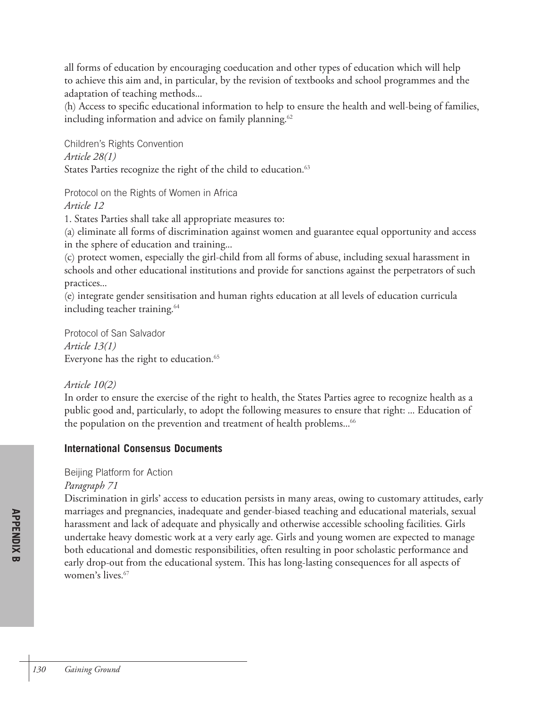all forms of education by encouraging coeducation and other types of education which will help to achieve this aim and, in particular, by the revision of textbooks and school programmes and the adaptation of teaching methods...

(h) Access to specific educational information to help to ensure the health and well-being of families, including information and advice on family planning.<sup>62</sup>

Children's Rights Convention *Article 28(1)* States Parties recognize the right of the child to education.<sup>63</sup>

Protocol on the Rights of Women in Africa

*Article 12*

1. States Parties shall take all appropriate measures to:

(a) eliminate all forms of discrimination against women and guarantee equal opportunity and access in the sphere of education and training...

(c) protect women, especially the girl-child from all forms of abuse, including sexual harassment in schools and other educational institutions and provide for sanctions against the perpetrators of such practices...

(e) integrate gender sensitisation and human rights education at all levels of education curricula including teacher training. 64

Protocol of San Salvador *Article 13(1)* Everyone has the right to education. 65

### *Article 10(2)*

In order to ensure the exercise of the right to health, the States Parties agree to recognize health as a public good and, particularly, to adopt the following measures to ensure that right: ... Education of the population on the prevention and treatment of health problems...<sup>66</sup>

### **International Consensus Documents**

Beijing Platform for Action

*Paragraph 71*

Discrimination in girls' access to education persists in many areas, owing to customary attitudes, early marriages and pregnancies, inadequate and gender-biased teaching and educational materials, sexual harassment and lack of adequate and physically and otherwise accessible schooling facilities. Girls undertake heavy domestic work at a very early age. Girls and young women are expected to manage both educational and domestic responsibilities, often resulting in poor scholastic performance and early drop-out from the educational system. This has long-lasting consequences for all aspects of women's lives. 67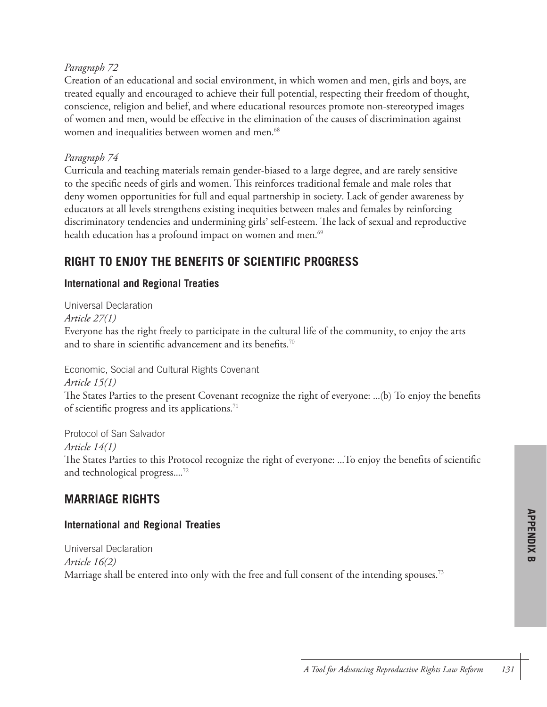# *A Tool for Advancing Reproductive Rights Law Reform 131*

**APPENDIX APPENDIX E** 

### *Paragraph 72*

Creation of an educational and social environment, in which women and men, girls and boys, are treated equally and encouraged to achieve their full potential, respecting their freedom of thought, conscience, religion and belief, and where educational resources promote non-stereotyped images of women and men, would be effective in the elimination of the causes of discrimination against women and inequalities between women and men. 68

# *Paragraph 74*

Curricula and teaching materials remain gender-biased to a large degree, and are rarely sensitive to the specific needs of girls and women. This reinforces traditional female and male roles that deny women opportunities for full and equal partnership in society. Lack of gender awareness by educators at all levels strengthens existing inequities between males and females by reinforcing discriminatory tendencies and undermining girls' self-esteem. The lack of sexual and reproductive health education has a profound impact on women and men. 69

# **RIGHT TO ENJOY THE BENEFITS OF SCIENTIFIC PROGRESS**

# **International and Regional Treaties**

Universal Declaration *Article 27(1)*

Everyone has the right freely to participate in the cultural life of the community, to enjoy the arts and to share in scientific advancement and its benefits. $^{70}$ 

Economic, Social and Cultural Rights Covenant

*Article 15(1)*

The States Parties to the present Covenant recognize the right of everyone: ...(b) To enjoy the benefits of scientific progress and its applications. 71

Protocol of San Salvador *Article 14(1)* The States Parties to this Protocol recognize the right of everyone: ...To enjoy the benefits of scientific and technological progress....72

# **MARRIAGE RIGHTS**

# **International and Regional Treaties**

Universal Declaration *Article 16(2)* Marriage shall be entered into only with the free and full consent of the intending spouses.<sup>73</sup>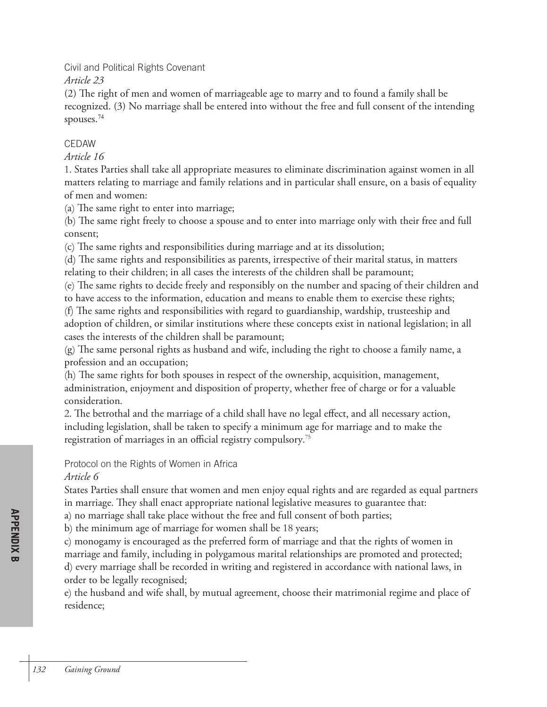Civil and Political Rights Covenant

*Article 23*

(2) The right of men and women of marriageable age to marry and to found a family shall be recognized. (3) No marriage shall be entered into without the free and full consent of the intending spouses.<sup>74</sup>

## CEDAW

*Article 16*

1. States Parties shall take all appropriate measures to eliminate discrimination against women in all matters relating to marriage and family relations and in particular shall ensure, on a basis of equality of men and women:

(a) The same right to enter into marriage;

(b) The same right freely to choose a spouse and to enter into marriage only with their free and full consent;

(c) The same rights and responsibilities during marriage and at its dissolution;

(d) The same rights and responsibilities as parents, irrespective of their marital status, in matters relating to their children; in all cases the interests of the children shall be paramount;

(e) The same rights to decide freely and responsibly on the number and spacing of their children and to have access to the information, education and means to enable them to exercise these rights;

(f) The same rights and responsibilities with regard to guardianship, wardship, trusteeship and adoption of children, or similar institutions where these concepts exist in national legislation; in all cases the interests of the children shall be paramount;

(g) The same personal rights as husband and wife, including the right to choose a family name, a profession and an occupation;

(h) The same rights for both spouses in respect of the ownership, acquisition, management, administration, enjoyment and disposition of property, whether free of charge or for a valuable consideration.

2. The betrothal and the marriage of a child shall have no legal effect, and all necessary action, including legislation, shall be taken to specify a minimum age for marriage and to make the registration of marriages in an official registry compulsory. 75

Protocol on the Rights of Women in Africa *Article 6*

States Parties shall ensure that women and men enjoy equal rights and are regarded as equal partners in marriage. They shall enact appropriate national legislative measures to guarantee that:

a) no marriage shall take place without the free and full consent of both parties;

b) the minimum age of marriage for women shall be 18 years;

c) monogamy is encouraged as the preferred form of marriage and that the rights of women in marriage and family, including in polygamous marital relationships are promoted and protected; d) every marriage shall be recorded in writing and registered in accordance with national laws, in order to be legally recognised;

e) the husband and wife shall, by mutual agreement, choose their matrimonial regime and place of residence;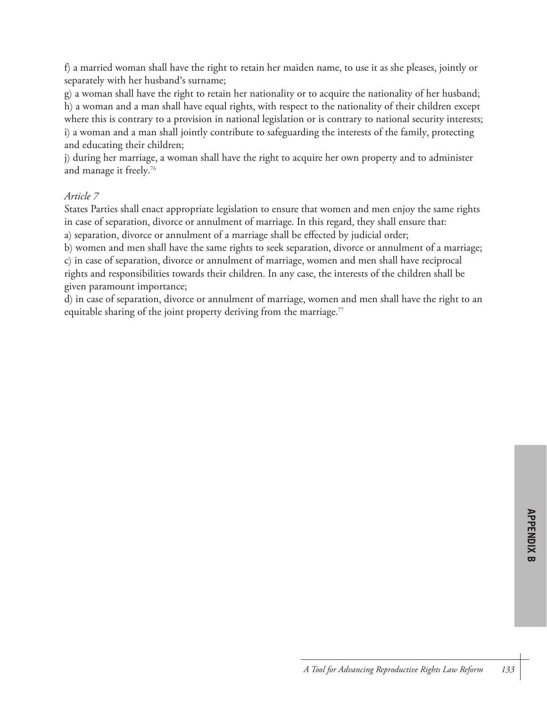f) a married woman shall have the right to retain her maiden name, to use it as she pleases, jointly or separately with her husband's surname;

g) a woman shall have the right to retain her nationality or to acquire the nationality of her husband; h) a woman and a man shall have equal rights, with respect to the nationality of their children except where this is contrary to a provision in national legislation or is contrary to national security interests; i) a woman and a man shall jointly contribute to safeguarding the interests of the family, protecting and educating their children;

j) during her marriage, a woman shall have the right to acquire her own property and to administer and manage it freely. 76

#### *Article 7*

States Parties shall enact appropriate legislation to ensure that women and men enjoy the same rights in case of separation, divorce or annulment of marriage. In this regard, they shall ensure that:

a) separation, divorce or annulment of a marriage shall be effected by judicial order;

b) women and men shall have the same rights to seek separation, divorce or annulment of a marriage; c) in case of separation, divorce or annulment of marriage, women and men shall have reciprocal

rights and responsibilities towards their children. In any case, the interests of the children shall be given paramount importance;

d) in case of separation, divorce or annulment of marriage, women and men shall have the right to an equitable sharing of the joint property deriving from the marriage. $^{77}$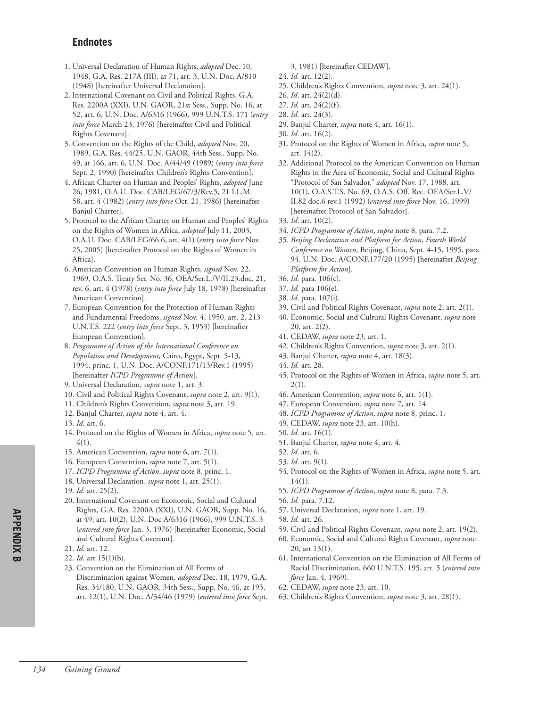### **Endnotes**

- 1. Universal Declaration of Human Rights, *adopted* Dec. 10, 1948, G.A. Res. 217A (III), at 71, art. 3, U.N. Doc. A/810 (1948) [hereinafter Universal Declaration].
- 2. International Covenant on Civil and Political Rights, G.A. Res. 2200A (XXI), U.N. GAOR, 21st Sess., Supp. No. 16, at 52, art. 6, U.N. Doc. A/6316 (1966), 999 U.N.T.S. 171 (*entry into force* March 23, 1976) [hereinafter Civil and Political Rights Covenant].
- 3. Convention on the Rights of the Child, *adopted* Nov. 20, 1989, G.A. Res. 44/25, U.N. GAOR, 44th Sess., Supp. No. 49, at 166, art. 6, U.N. Doc. A/44/49 (1989) (*entry into force* Sept. 2, 1990) [hereinafter Children's Rights Convention].
- 4. African Charter on Human and Peoples' Rights, *adopted* June 26, 1981, O.A.U. Doc. CAB/LEG/67/3/Rev.5, 21 I.L.M. 58, art. 4 (1982) (*entry into force* Oct. 21, 1986) [hereinafter Banjul Charter].
- 5. Protocol to the African Charter on Human and Peoples' Rights on the Rights of Women in Africa, *adopted* July 11, 2003, O.A.U. Doc. CAB/LEG/66.6, art. 4(1) (*entry into force* Nov. 25, 2005) [hereinafter Protocol on the Rights of Women in Africa].
- 6. American Convention on Human Rights, *signed* Nov. 22, 1969, O.A.S. Treaty Ser. No. 36, OEA/Ser.L./V/II.23.doc. 21, rev. 6, art. 4 (1978) (*entry into force* July 18, 1978) [hereinafter American Convention].
- 7. European Convention for the Protection of Human Rights and Fundamental Freedoms, *signed* Nov. 4, 1950, art. 2, 213 U.N.T.S. 222 (*entry into force* Sept. 3, 1953) [hereinafter European Convention].
- 8. *Programme of Action of the International Conference on Population and Development,* Cairo, Egypt, Sept. 5-13, 1994, princ. 1, U.N. Doc. A/CONF.171/13/Rev.1 (1995) [hereinafter *ICPD Programme of Action*].
- 9. Universal Declaration, *supra* note 1, art. 3.
- 10. Civil and Political Rights Covenant, *supra* note 2, art. 9(1).
- 11. Children's Rights Convention, *supra* note 3, art. 19.
- 12. Banjul Charter, *supra* note 4, art. 4.
- 13. *Id.* art. 6.
- 14. Protocol on the Rights of Women in Africa, *supra* note 5, art. 4(1).
- 15. American Convention, *supra* note 6, art. 7(1).
- 16. European Convention, *supra* note 7, art. 5(1).
- 17. *ICPD Programme of Action*, *supra* note 8, princ. 1.
- 18. Universal Declaration, *supra* note 1, art. 25(1).
- 19. *Id.* art. 25(2).
- 20. International Covenant on Economic, Social and Cultural Rights, G.A. Res. 2200A (XXI), U.N. GAOR, Supp. No. 16, at 49, art. 10(2), U.N. Doc A/6316 (1966), 999 U.N.T.S. 3 (*entered into force* Jan. 3, 1976) [hereinafter Economic, Social and Cultural Rights Covenant].
- 21. *Id*. art. 12.
- 22. *Id*. art 15(1)(b).
- 23. Convention on the Elimination of All Forms of Discrimination against Women, *adopted* Dec. 18, 1979, G.A. Res. 34/180, U.N. GAOR, 34th Sess., Supp. No. 46, at 193, art. 12(1), U.N. Doc. A/34/46 (1979) (*entered into force* Sept.

3, 1981) [hereinafter CEDAW].

- 24. *Id.* art. 12(2)*.*
- 25. Children's Rights Convention, *supra* note 3, art. 24(1).
- 26. *Id*. art. 24(2)(d).
- 27. *Id.* art. 24(2)(f).
- 28. *Id.* art. 24(3).
- 29. Banjul Charter, *supra* note 4, art. 16(1).
- 30. *Id.* art. 16(2).
- 31. Protocol on the Rights of Women in Africa, *supra* note 5, art. 14(2).
- 32. Additional Protocol to the American Convention on Human Rights in the Area of Economic, Social and Cultural Rights "Protocol of San Salvador," *adopted* Nov. 17, 1988, art. 10(1), O.A.S.T.S. No. 69, O.A.S. Off. Rec. OEA/Ser.L.V/ II.82 doc.6 rev.1 (1992) (*entered into force* Nov. 16, 1999) [hereinafter Protocol of San Salvador].
- 33. *Id*. art. 10(2).
- 34. *ICPD Programme of Action*, *supra* note 8, para. 7.2.
- 35. *Beijing Declaration and Platform for Action, Fourth World Conference on Women*, Beijing, China, Sept. 4-15, 1995, para. 94, U.N. Doc. A/CONF.177/20 (1995) [hereinafter *Beijing Platform for Action*].
- 36. *Id.* para. 106(c).
- 37. *Id.* para 106(e).
- 38. *Id.* para. 107(i).
- 39. Civil and Political Rights Covenant, *supra* note 2, art. 2(1).
- 40. Economic, Social and Cultural Rights Covenant, *supra* note 20, art. 2(2).
- 41. CEDAW, *supra* note 23, art. 1.
- 42. Children's Rights Convention, *supra* note 3, art. 2(1).
- 43. Banjul Charter, *supra* note 4, art. 18(3).
- 44. *Id.* art. 28.
- 45. Protocol on the Rights of Women in Africa, *supra* note 5, art.  $2(1)$ .
- 46. American Convention, *supra* note 6, art. 1(1).
- 47. European Convention, *supra* note 7, art. 14.
- 48. *ICPD Programme of Action*, *supra* note 8, princ. 1.
- 49. CEDAW, *supra* note 23, art. 10(h).
- 50. *Id.* art. 16(1).
- 51. Banjul Charter, *supra* note 4, art. 4.
- 52. *Id.* art. 6.
- 53. *Id.* art. 9(1).
- 54. Protocol on the Rights of Women in Africa, *supra* note 5, art. 14(1).
- 55. *ICPD Programme of Action*, *supra* note 8, para. 7.3.
- 56. *Id.* para. 7.12.
- 57. Universal Declaration, *supra* note 1, art. 19.
- 58. *Id.* art. 26.
- 59. Civil and Political Rights Covenant, *supra* note 2, art. 19(2).
- 60. Economic, Social and Cultural Rights Covenant, *supra* note 20, art 13(1).
- 61. International Convention on the Elimination of All Forms of Racial Discrimination, 660 U.N.T.S. 195, art. 5 (*entered into force* Jan. 4, 1969).
- 62. CEDAW, *supra* note 23, art. 10.
- 63. Children's Rights Convention, *supra* note 3, art. 28(1).